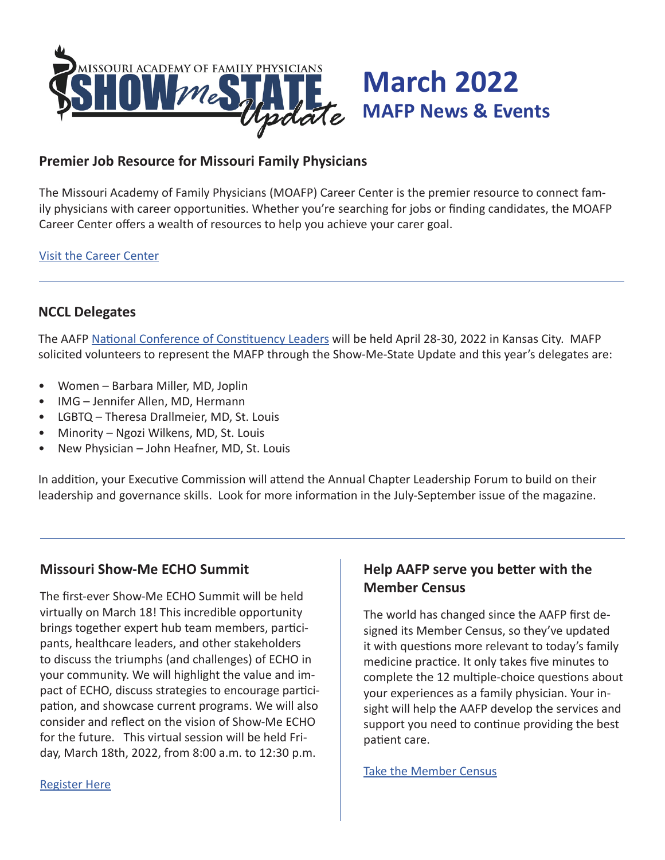

## **Premier Job Resource for Missouri Family Physicians**

The Missouri Academy of Family Physicians (MOAFP) Career Center is the premier resource to connect family physicians with career opportunities. Whether you're searching for jobs or finding candidates, the MOAFP Career Center offers a wealth of resources to help you achieve your carer goal.

#### Visit the Career Center

## **NCCL Delegates**

The AAFP National Conference of Constituency Leaders will be held April 28-30, 2022 in Kansas City. MAFP solicited volunteers to represent the MAFP through the Show-Me-State Update and this year's delegates are:

- Women Barbara Miller, MD, Joplin
- IMG Jennifer Allen, MD, Hermann
- LGBTQ Theresa Drallmeier, MD, St. Louis
- Minority Ngozi Wilkens, MD, St. Louis
- New Physician John Heafner, MD, St. Louis

In addition, your Executive Commission will attend the Annual Chapter Leadership Forum to build on their leadership and governance skills. Look for more information in the July-September issue of the magazine.

### **Missouri Show-Me ECHO Summit**

The first-ever Show-Me ECHO Summit will be held virtually on March 18! This incredible opportunity brings together expert hub team members, participants, healthcare leaders, and other stakeholders to discuss the triumphs (and challenges) of ECHO in your community. We will highlight the value and impact of ECHO, discuss strategies to encourage participation, and showcase current programs. We will also consider and reflect on the vision of Show-Me ECHO for the future. This virtual session will be held Friday, March 18th, 2022, from 8:00 a.m. to 12:30 p.m.

## **Help AAFP serve you better with the Member Census**

The world has changed since the AAFP first designed its Member Census, so they've updated it with questions more relevant to today's family medicine practice. It only takes five minutes to complete the 12 multiple-choice questions about your experiences as a family physician. Your insight will help the AAFP develop the services and support you need to continue providing the best patient care.

Take the Member Census

#### Register Here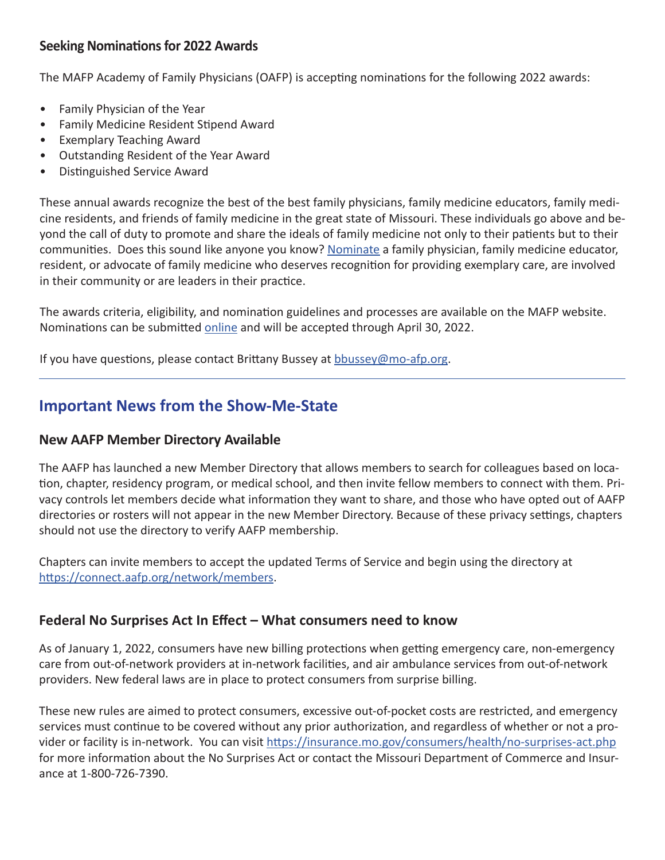## **Seeking Nominations for 2022 Awards**

The MAFP Academy of Family Physicians (OAFP) is accepting nominations for the following 2022 awards:

- Family Physician of the Year
- Family Medicine Resident Stipend Award
- Exemplary Teaching Award
- Outstanding Resident of the Year Award
- Distinguished Service Award

These annual awards recognize the best of the best family physicians, family medicine educators, family medicine residents, and friends of family medicine in the great state of Missouri. These individuals go above and beyond the call of duty to promote and share the ideals of family medicine not only to their patients but to their communities. Does this sound like anyone you know? Nominate a family physician, family medicine educator, resident, or advocate of family medicine who deserves recognition for providing exemplary care, are involved in their community or are leaders in their practice.

The awards criteria, eligibility, and nomination guidelines and processes are available on the MAFP website. Nominations can be submitted online and will be accepted through April 30, 2022.

If you have questions, please contact Brittany Bussey at bbussey@mo-afp.org.

# **Important News from the Show-Me-State**

## **New AAFP Member Directory Available**

The AAFP has launched a new Member Directory that allows members to search for colleagues based on location, chapter, residency program, or medical school, and then invite fellow members to connect with them. Privacy controls let members decide what information they want to share, and those who have opted out of AAFP directories or rosters will not appear in the new Member Directory. Because of these privacy settings, chapters should not use the directory to verify AAFP membership.

Chapters can invite members to accept the updated Terms of Service and begin using the directory at https://connect.aafp.org/network/members.

## **Federal No Surprises Act In Effect – What consumers need to know**

As of January 1, 2022, consumers have new billing protections when getting emergency care, non-emergency care from out-of-network providers at in-network facilities, and air ambulance services from out-of-network providers. New federal laws are in place to protect consumers from surprise billing.

These new rules are aimed to protect consumers, excessive out-of-pocket costs are restricted, and emergency services must continue to be covered without any prior authorization, and regardless of whether or not a provider or facility is in-network. You can visit https://insurance.mo.gov/consumers/health/no-surprises-act.php for more information about the No Surprises Act or contact the Missouri Department of Commerce and Insurance at 1-800-726-7390.